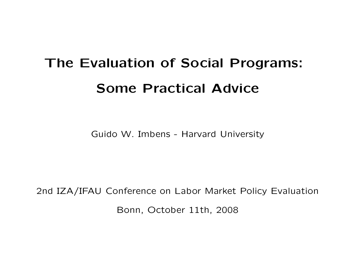# The Evaluation of Social Programs: Some Practical Advice

Guido W. Imbens - Harvard University

2nd IZA/IFAU Conference on Labor Market Policy Evaluation Bonn, October 11th, 2008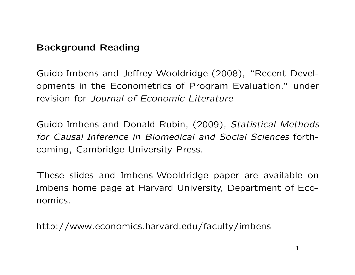#### Background Reading

Guido Imbens and Jeffrey Wooldridge (2008), "Recent Developments in the Econometrics of Program Evaluation," under revision for Journal of Fconomic Literature

Guido Imbens and Donald Rubin, (2009), Statistical Methods for Causal Inference in Biomedical and Social Sciences forthcoming, Cambridge University Press.

These slides and Imbens-Wooldridge paper are available on Imbens home page at Harvard University, Department of Economics.

http://www.economics.harvard.edu/faculty/imbens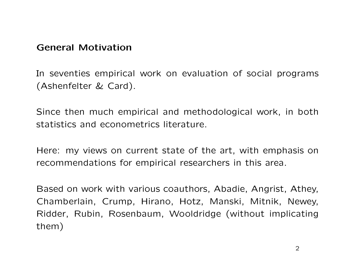#### General Motivation

In seventies empirical work on evaluation of social programs (Ashenfelter & Card).

Since then much empirical and methodological work, in both statistics and econometrics literature.

Here: my views on current state of the art, with emphasis on recommendations for empirical researchers in this area.

Based on work with various coauthors, Abadie, Angrist, Athey, Chamberlain, Crump, Hirano, Hotz, Manski, Mitnik, Newey, Ridder, Rubin, Rosenbaum, Wooldridge (without implicating them)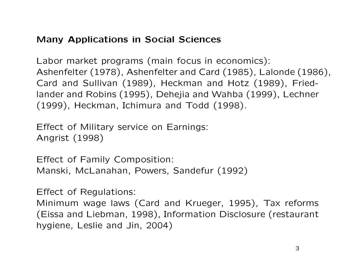## Many Applications in Social Sciences

Labor market programs (main focus in economics): Ashenfelter (1978), Ashenfelter and Card (1985), Lalonde (1986), Card and Sullivan (1989), Heckman and Hotz (1989), Friedlander and Robins (1995), Dehejia and Wahba (1999), Lechner (1999), Heckman, Ichimura and Todd (1998).

Effect of Military service on Earnings: Angrist (1998)

Effect of Family Composition: Manski, McLanahan, Powers, Sandefur (1992)

Effect of Regulations:

Minimum wage laws (Card and Krueger, 1995), Tax reforms (Eissa and Liebman, 1998), Information Disclosure (restaurant hygiene, Leslie and Jin, 2004)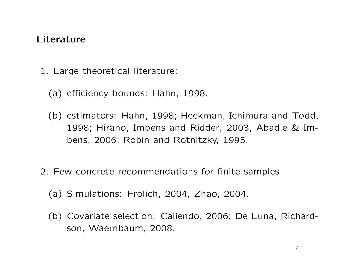#### Literature

- 1. Large theoretical literature:
	- (a) efficiency bounds: Hahn, 1998.
	- (b) estimators: Hahn, 1998; Heckman, Ichimura and Todd, 1998; Hirano, Imbens and Ridder, 2003, Abadie & Imbens, 2006; Robin and Rotnitzky, 1995.
- 2. Few concrete recommendations for finite samples
	- $(a)$  Simulations: Frölich, 2004, Zhao, 2004.
	- (b) Covariate selection: Caliendo, 2006; De Luna, Richardson, Waernbaum, 2008.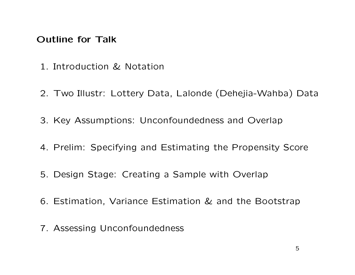#### Outline for Talk

- 1. Introduction & Notation
- 2. Two Illustr: Lottery Data, Lalonde (Dehejia-Wahba) Data
- 3. Key Assumptions: Unconfoundedness and Overlap
- 4. Prelim: Specifying and Estimating the Propensity Score
- 5. Design Stage: Creating a Sample with Overlap
- 6. Estimation, Variance Estimation & and the Bootstrap
- 7. Assessing Unconfoundedness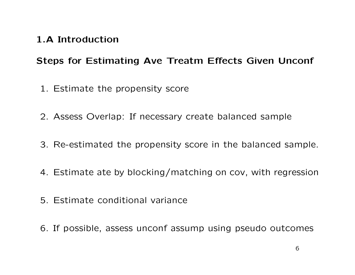#### 1.A Introduction

## Steps for Estimating Ave Treatm Effects Given Unconf

- 1. Estimate the propensity score
- 2. Assess Overlap: If necessary create balanced sample
- 3. Re-estimated the propensity score in the balanced sample.
- 4. Estimate ate by blocking/matching on cov, with regression
- 5. Estimate conditional variance
- 6. If possible, assess unconf assump using pseudo outcomes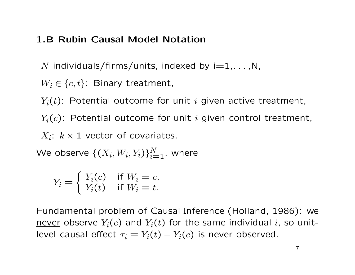#### 1.B Rubin Causal Model Notation

N individuals/firms/units, indexed by  $i=1,...,N$ ,

 $W_i \in \{c, t\}$ : Binary treatment,

 $Y_i(t)$ : Potential outcome for unit i given active treatment,

 $Y_i(c)$ : Potential outcome for unit i given control treatment,

 $X_i$ :  $k \times 1$  vector of covariates.

We observe  $\{(X_i, W_i, Y_i)\}_{i=1}^N$ , where

$$
Y_i = \begin{cases} Y_i(c) & \text{if } W_i = c, \\ Y_i(t) & \text{if } W_i = t. \end{cases}
$$

Fundamental problem of Causal Inference (Holland, 1986): we never observe  $Y_i(c)$  and  $Y_i(t)$  for the same individual i, so unitlevel causal effect  $\tau_i = Y_i(t) - Y_i(c)$  is never observed.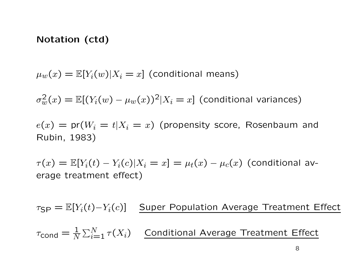#### Notation (ctd)

 $\mu_w(x) = \mathbb{E}[Y_i(w)|X_i = x]$  (conditional means)

 $\sigma_w^2(x) = \mathbb{E}[(Y_i(w) - \mu_w(x))^2 | X_i = x]$  (conditional variances)

 $e(x) = \text{pr}(W_i = t | X_i = x)$  (propensity score, Rosenbaum and Rubin, 1983)

 $\tau(x) = \mathbb{E}[Y_i(t) - Y_i(c)|X_i = x] = \mu_t(x) - \mu_c(x)$  (conditional average treatment effect)

 $\tau_{\text{SP}} = \mathbb{E}[Y_i(t)-Y_i(c)]$  Super Population Average Treatment Effect  $\tau_{\mathsf{cond}} = \frac{1}{N}$  $\sum_{i=1}^{N} \tau(X_i)$  Conditional Average Treatment Effect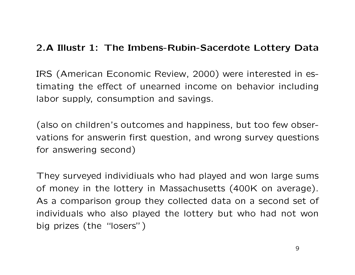#### 2.A Illustr 1: The Imbens-Rubin-Sacerdote Lottery Data

IRS (American Economic Review, 2000) were interested in estimating the effect of unearned income on behavior including labor supply, consumption and savings.

(also on children's outcomes and happiness, but too few observations for answerin first question, and wrong survey questions for answering second)

They surveyed individiuals who had played and won large sums of money in the lottery in Massachusetts (400K on average). As a comparison group they collected data on a second set of individuals who also played the lottery but who had not won big prizes (the "losers")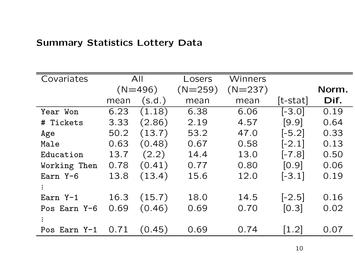# Summary Statistics Lottery Data

| Covariates   |      | All       | Losers    | Winners   |                    |       |
|--------------|------|-----------|-----------|-----------|--------------------|-------|
|              |      | $(N=496)$ | $(N=259)$ | $(N=237)$ |                    | Norm. |
|              | mean | (s.d.)    | mean      | mean      | $[t-stat]$         | Dif.  |
| Year Won     | 6.23 | (1.18)    | 6.38      | 6.06      | $[-3.0]$           | 0.19  |
| # Tickets    | 3.33 | (2.86)    | 2.19      | 4.57      | [9.9]              | 0.64  |
| Age          | 50.2 | (13.7)    | 53.2      | 47.0      | $[-5.2]$           | 0.33  |
| Male         | 0.63 | (0.48)    | 0.67      | 0.58      | $[-2.1]$           | 0.13  |
| Education    | 13.7 | (2.2)     | 14.4      | 13.0      | $[-7.8]$           | 0.50  |
| Working Then | 0.78 | (0.41)    | 0.77      | 0.80      | [0.9]              | 0.06  |
| Earn Y-6     | 13.8 | (13.4)    | 15.6      | 12.0      | $[-3.1]$           | 0.19  |
|              |      |           |           |           |                    |       |
| Earn Y-1     | 16.3 | (15.7)    | 18.0      | 14.5      | $[-2.5]$           | 0.16  |
| Pos Earn Y-6 | 0.69 | (0.46)    | 0.69      | 0.70      | [0.3]              | 0.02  |
|              |      |           |           |           |                    |       |
| Pos Earn Y-1 | 0.71 | (0.45)    | 0.69      | 0.74      | $\left[1.2\right]$ | 0.07  |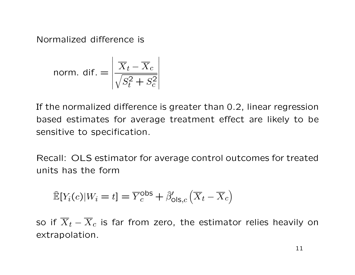Normalized difference is

$$
\text{norm. dif.} = \left| \frac{\overline{X}_t - \overline{X}_c}{\sqrt{S_t^2 + S_c^2}} \right|
$$

If the normalized difference is greater than 0.2, linear regression based estimates for average treatment effect are likely to be sensitive to specification.

Recall: OLS estimator for average control outcomes for treated units has the form

$$
\widehat{\mathbb{E}}[Y_i(c)|W_i = t] = \overline{Y}_c^{\text{obs}} + \widehat{\beta}'_{\text{ols},c}(\overline{X}_t - \overline{X}_c)
$$

so if  $\overline{X}_t - \overline{X}_c$  is far from zero, the estimator relies heavily on extrapolation.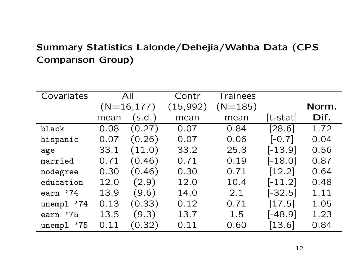# Summary Statistics Lalonde/Dehejia/Wahba Data (CPS Comparison Group)

| Covariates    |      | All               | Contr     | Trainees  |                     |       |
|---------------|------|-------------------|-----------|-----------|---------------------|-------|
|               |      | $(N=16,177)$      | (15, 992) | $(N=185)$ |                     | Norm. |
|               | mean | $(\mathsf{s.d.})$ | mean      | mean      | $[t-stat]$          | Dif.  |
| black         | 0.08 | (0.27)            | 0.07      | 0.84      | [28.6]              | 1.72  |
| hispanic      | 0.07 | (0.26)            | 0.07      | 0.06      | $[-0.7]$            | 0.04  |
| age           | 33.1 | (11.0)            | 33.2      | 25.8      | $[-13.9]$           | 0.56  |
| married       | 0.71 | (0.46)            | 0.71      | 0.19      | $[-18.0]$           | 0.87  |
| nodegree      | 0.30 | (0.46)            | 0.30      | 0.71      | $[12.2]$            | 0.64  |
| education     | 12.0 | (2.9)             | 12.0      | 10.4      | $[-11.2]$           | 0.48  |
| earn '74      | 13.9 | (9.6)             | 14.0      | 2.1       | $[-32.5]$           | 1.11  |
| unempl '74    | 0.13 | (0.33)            | 0.12      | 0.71      | $\left[17.5\right]$ | 1.05  |
| '75<br>earn   | 13.5 | (9.3)             | 13.7      | 1.5       | $[-48.9]$           | 1.23  |
| unempl<br>'75 | 0.11 | (0.32)            | 0.11      | 0.60      | [13.6]              | 0.84  |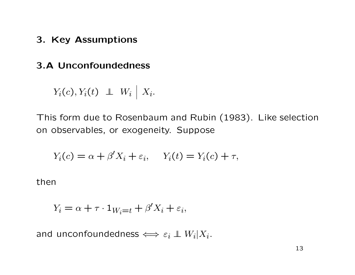3. Key Assumptions

#### 3.A Unconfoundedness

$$
Y_i(c), Y_i(t) \perp \!\!\!\perp W_i \mid X_i.
$$

This form due to Rosenbaum and Rubin (1983). Like selection on observables, or exogeneity. Suppose

$$
Y_i(c) = \alpha + \beta' X_i + \varepsilon_i, \quad Y_i(t) = Y_i(c) + \tau,
$$

then

$$
Y_i = \alpha + \tau \cdot 1_{W_i = t} + \beta' X_i + \varepsilon_i,
$$

and unconfoundedness  $\iff \varepsilon_i \perp\!\!\!\!\perp W_i | X_i.$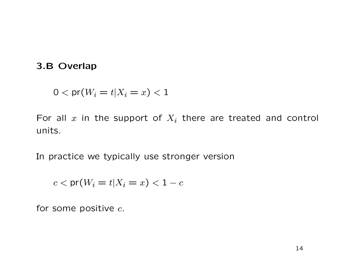#### 3.B Overlap

$$
0 < \mathsf{pr}(W_i = t | X_i = x) < 1
$$

For all x in the support of  $X_i$  there are treated and control units.

In practice we typically use stronger version

$$
c < \mathsf{pr}(W_i = t | X_i = x) < 1 - c
$$

for some positive  $c$ .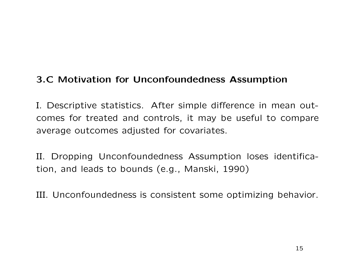## 3.C Motivation for Unconfoundedness Assumption

I. Descriptive statistics. After simple difference in mean outcomes for treated and controls, it may be useful to compare average outcomes adjusted for covariates.

II. Dropping Unconfoundedness Assumption loses identification, and leads to bounds (e.g., Manski, 1990)

III. Unconfoundedness is consistent some optimizing behavior.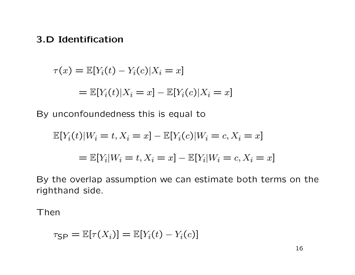#### 3.D Identification

$$
\tau(x) = \mathbb{E}[Y_i(t) - Y_i(c)|X_i = x]
$$
  

$$
= \mathbb{E}[Y_i(t)|X_i = x] - \mathbb{E}[Y_i(c)|X_i = x]
$$

By unconfoundedness this is equal to

$$
\mathbb{E}[Y_i(t)|W_i = t, X_i = x] - \mathbb{E}[Y_i(c)|W_i = c, X_i = x]
$$

$$
= \mathbb{E}[Y_i|W_i = t, X_i = x] - \mathbb{E}[Y_i|W_i = c, X_i = x]
$$

By the overlap assumption we can estimate both terms on the righthand side.

Then

$$
\tau_{\sf SP} = \mathbb{E}[\tau(X_i)] = \mathbb{E}[Y_i(t) - Y_i(c)]
$$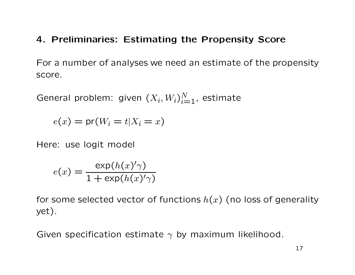#### 4. Preliminaries: Estimating the Propensity Score

For a number of analyses we need an estimate of the propensity score.

General problem: given  $(X_i, W_i)_{i=1}^N$ , estimate

 $e(x) = \text{pr}(W_i = t | X_i = x)$ 

Here: use logit model

$$
e(x) = \frac{\exp(h(x)'\gamma)}{1 + \exp(h(x)'\gamma)}
$$

for some selected vector of functions  $h(x)$  (no loss of generality yet).

Given specification estimate  $\gamma$  by maximum likelihood.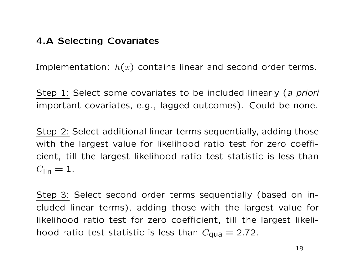#### 4.A Selecting Covariates

Implementation:  $h(x)$  contains linear and second order terms.

Step 1: Select some covariates to be included linearly (a priori important covariates, e.g., lagged outcomes). Could be none.

Step 2: Select additional linear terms sequentially, adding those with the largest value for likelihood ratio test for zero coefficient, till the largest likelihood ratio test statistic is less than  $C_{\text{lin}} = 1$ .

Step 3: Select second order terms sequentially (based on included linear terms), adding those with the largest value for likelihood ratio test for zero coefficient, till the largest likelihood ratio test statistic is less than  $C_{\text{qua}} = 2.72$ .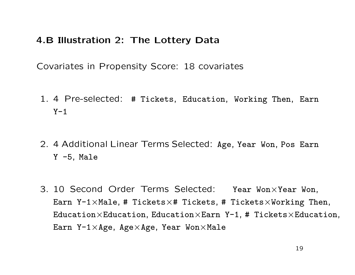### 4.B Illustration 2: The Lottery Data

Covariates in Propensity Score: 18 covariates

- 1. 4 Pre-selected: # Tickets, Education, Working Then, Earn  $Y-1$
- 2. 4 Additional Linear Terms Selected: Age, Year Won, Pos Earn Y -5, Male
- 3. 10 Second Order Terms Selected: Year Won×Year Won, Earn Y-1×Male, # Tickets×# Tickets, # Tickets×Working Then, Education $\times$ Education, Education $\times$ Earn Y-1, # Tickets $\times$ Education, Earn Y-1 $\times$ Age, Age $\times$ Age, Year Won $\times$ Male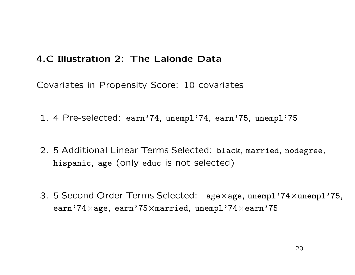#### 4.C Illustration 2: The Lalonde Data

Covariates in Propensity Score: 10 covariates

- 1. 4 Pre-selected: earn'74, unempl'74, earn'75, unempl'75
- 2. 5 Additional Linear Terms Selected: black, married, nodegree, hispanic, age (only educ is not selected)
- 3. 5 Second Order Terms Selected: age×age, unempl'74×unempl'75, earn'74×age, earn'75×married, unempl'74×earn'75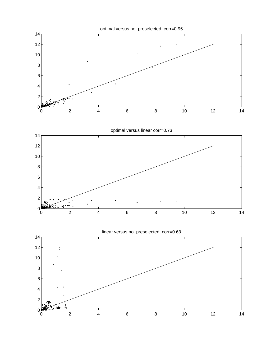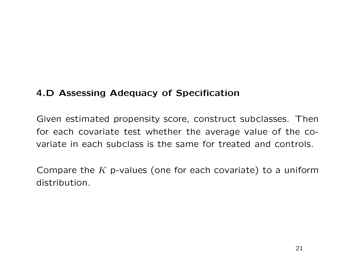# 4.D Assessing Adequacy of Specification

Given estimated propensity score, construct subclasses. Then for each covariate test whether the average value of the covariate in each subclass is the same for treated and controls.

Compare the  $K$  p-values (one for each covariate) to a uniform distribution.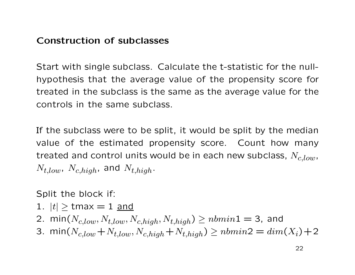#### Construction of subclasses

Start with single subclass. Calculate the t-statistic for the nullhypothesis that the average value of the propensity score for treated in the subclass is the same as the average value for the controls in the same subclass.

If the subclass were to be split, it would be split by the median value of the estimated propensity score. Count how many treated and control units would be in each new subclass,  $N_{c,low}$ ,  $N_{t,low}$ ,  $N_{c,high}$ , and  $N_{t,high}$ .

Split the block if:

- 1.  $|t| \geq \text{tmax} = 1$  and
- 2. min $(N_{c,low}, N_{t,low}, N_{c,high}, N_{t,high}) \geq nbmin1 = 3$ , and
- 3. min( $N_{c,low} + N_{t,low}, N_{c,high} + N_{t,high}$ ) ≥  $nbmin2 = dim(X_i) + 2$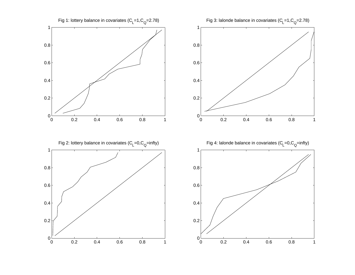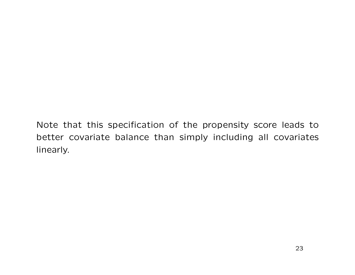Note that this specification of the propensity score leads to better covariate balance than simply including all covariates linearly.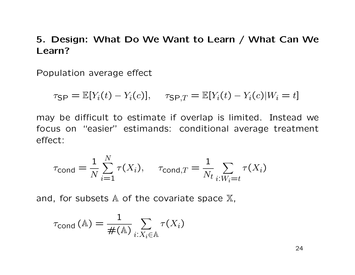## 5. Design: What Do We Want to Learn / What Can We Learn?

Population average effect

 $\tau_{\text{SP}} = \mathbb{E}[Y_i(t) - Y_i(c)], \quad \tau_{\text{SP},T} = \mathbb{E}[Y_i(t) - Y_i(c)|W_i = t]$ 

may be difficult to estimate if overlap is limited. Instead we focus on "easier" estimands: conditional average treatment effect:

$$
\tau_{\text{cond}} = \frac{1}{N} \sum_{i=1}^{N} \tau(X_i), \quad \tau_{\text{cond},T} = \frac{1}{N_t} \sum_{i:W_i=t} \tau(X_i)
$$

and, for subsets  $A$  of the covariate space  $X$ ,

$$
\tau_{\text{cond}}(\mathbb{A}) = \frac{1}{\#(\mathbb{A})} \sum_{i: X_i \in \mathbb{A}} \tau(X_i)
$$

24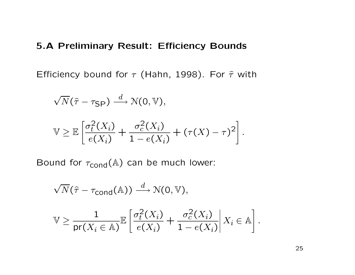#### 5.A Preliminary Result: Efficiency Bounds

Efficiency bound for  $\tau$  (Hahn, 1998). For  $\hat{\tau}$  with

$$
\sqrt{N}(\hat{\tau} - \tau_{\text{SP}}) \xrightarrow{d} \mathcal{N}(0, \mathbb{V}),
$$
  

$$
\mathbb{V} \geq \mathbb{E}\left[\frac{\sigma_t^2(X_i)}{e(X_i)} + \frac{\sigma_c^2(X_i)}{1 - e(X_i)} + (\tau(X) - \tau)^2\right]
$$

Bound for  $\tau_{\text{cond}}(\mathbb{A})$  can be much lower:

$$
\sqrt{N}(\hat{\tau} - \tau_{\text{cond}}(\mathbb{A})) \xrightarrow{d} \mathcal{N}(0, \mathbb{V}),
$$
  

$$
\mathbb{V} \ge \frac{1}{\text{pr}(X_i \in \mathbb{A})} \mathbb{E} \left[ \frac{\sigma_t^2(X_i)}{e(X_i)} + \frac{\sigma_c^2(X_i)}{1 - e(X_i)} \middle| X_i \in \mathbb{A} \right].
$$

.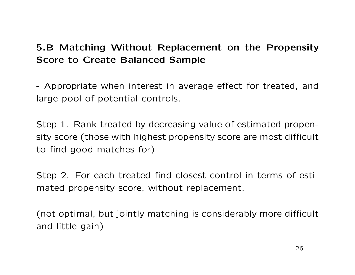# 5.B Matching Without Replacement on the Propensity Score to Create Balanced Sample

- Appropriate when interest in average effect for treated, and large pool of potential controls.

Step 1. Rank treated by decreasing value of estimated propensity score (those with highest propensity score are most difficult to find good matches for)

Step 2. For each treated find closest control in terms of estimated propensity score, without replacement.

(not optimal, but jointly matching is considerably more difficult and little gain)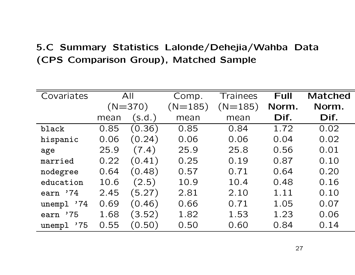# 5.C Summary Statistics Lalonde/Dehejia/Wahba Data (CPS Comparison Group), Matched Sample

| Covariates    |      | All       | Comp.     | Trainees  | <b>Full</b> | <b>Matched</b> |
|---------------|------|-----------|-----------|-----------|-------------|----------------|
|               |      | $(N=370)$ | $(N=185)$ | $(N=185)$ | Norm.       | Norm.          |
|               | mean | (s.d.)    | mean      | mean      | Dif.        | Dif.           |
| black         | 0.85 | (0.36)    | 0.85      | 0.84      | 1.72        | 0.02           |
| hispanic      | 0.06 | (0.24)    | 0.06      | 0.06      | 0.04        | 0.02           |
| age           | 25.9 | (7.4)     | 25.9      | 25.8      | 0.56        | 0.01           |
| married       | 0.22 | (0.41)    | 0.25      | 0.19      | 0.87        | 0.10           |
| nodegree      | 0.64 | (0.48)    | 0.57      | 0.71      | 0.64        | 0.20           |
| education     | 10.6 | (2.5)     | 10.9      | 10.4      | 0.48        | 0.16           |
| earn '74      | 2.45 | (5.27)    | 2.81      | 2.10      | 1.11        | 0.10           |
| unempl '74    | 0.69 | (0.46)    | 0.66      | 0.71      | 1.05        | 0.07           |
| .75<br>earn   | 1.68 | (3.52)    | 1.82      | 1.53      | 1.23        | 0.06           |
| unempl<br>'75 | 0.55 | (0.50)    | 0.50      | 0.60      | 0.84        | 0.14           |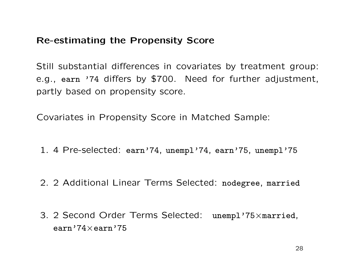# Re-estimating the Propensity Score

Still substantial differences in covariates by treatment group: e.g., earn '74 differs by \$700. Need for further adjustment, partly based on propensity score.

Covariates in Propensity Score in Matched Sample:

- 1. 4 Pre-selected: earn'74, unempl'74, earn'75, unempl'75
- 2. 2 Additional Linear Terms Selected: nodegree, married
- 3. 2 Second Order Terms Selected: unempl'75×married, earn'74×earn'75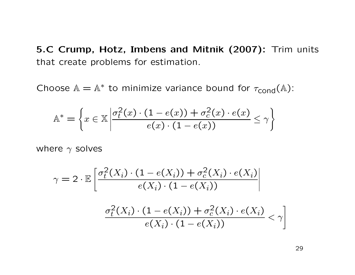5.C Crump, Hotz, Imbens and Mitnik (2007): Trim units that create problems for estimation.

Choose  $\mathbb{A} = \mathbb{A}^*$  to minimize variance bound for  $\tau_{\text{cond}}(\mathbb{A})$ :

$$
\mathbb{A}^* = \left\{ x \in \mathbb{X} \left| \frac{\sigma_t^2(x) \cdot (1 - e(x)) + \sigma_c^2(x) \cdot e(x)}{e(x) \cdot (1 - e(x))} \le \gamma \right. \right\}
$$

where  $\gamma$  solves

$$
\gamma = 2 \cdot \mathbb{E} \left[ \frac{\sigma_t^2(X_i) \cdot (1 - e(X_i)) + \sigma_c^2(X_i) \cdot e(X_i)}{e(X_i) \cdot (1 - e(X_i))} \right]
$$

$$
\frac{\sigma_t^2(X_i) \cdot (1 - e(X_i)) + \sigma_c^2(X_i) \cdot e(X_i)}{e(X_i) \cdot (1 - e(X_i))} < \gamma \right]
$$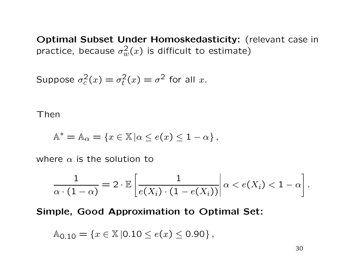Optimal Subset Under Homoskedasticity: (relevant case in practice, because  $\sigma_w^2(x)$  is difficult to estimate)

Suppose 
$$
\sigma_c^2(x) = \sigma_t^2(x) = \sigma^2
$$
 for all x.

Then

$$
\mathbb{A}^* = \mathbb{A}_{\alpha} = \{x \in \mathbb{X} \mid \alpha \le e(x) \le 1 - \alpha\},\
$$

where  $\alpha$  is the solution to

$$
\frac{1}{\alpha \cdot (1-\alpha)} = 2 \cdot \mathbb{E} \left[ \frac{1}{e(X_i) \cdot (1-e(X_i))} \middle| \alpha < e(X_i) < 1-\alpha \right].
$$

#### Simple, Good Approximation to Optimal Set:

$$
\mathbb{A}_{0.10} = \{x \in \mathbb{X} | 0.10 \le e(x) \le 0.90\},\,
$$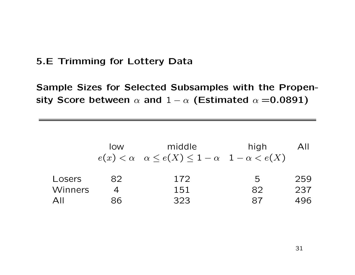## 5.E Trimming for Lottery Data

Sample Sizes for Selected Subsamples with the Propensity Score between  $\alpha$  and  $1 - \alpha$  (Estimated  $\alpha = 0.0891$ )

|                | <b>IOW</b> | middle<br>$e(x) < \alpha \quad \alpha \leq e(X) \leq 1-\alpha \quad 1-\alpha < e(X)$ | high |     |
|----------------|------------|--------------------------------------------------------------------------------------|------|-----|
| Losers         | 82         | 172                                                                                  | 5    | 259 |
| <b>Winners</b> |            | 151                                                                                  | 82   | 237 |
| $\Delta$ II    | 86         | 323                                                                                  | 87   | 496 |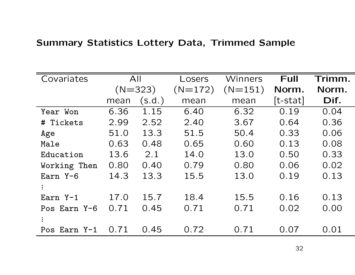# Summary Statistics Lottery Data, Trimmed Sample

| Covariates   |      | All       | Losers    | Winners   | <b>Full</b> | Trimm. |
|--------------|------|-----------|-----------|-----------|-------------|--------|
|              |      | $(N=323)$ | $(N=172)$ | $(N=151)$ | Norm.       | Norm.  |
|              | mean | (s.d.)    | mean      | mean      | $[t-stat]$  | Dif.   |
| Year Won     | 6.36 | 1.15      | 6.40      | 6.32      | 0.19        | 0.04   |
| # Tickets    | 2.99 | 2.52      | 2.40      | 3.67      | 0.64        | 0.36   |
| Age          | 51.0 | 13.3      | 51.5      | 50.4      | 0.33        | 0.06   |
| Male         | 0.63 | 0.48      | 0.65      | 0.60      | 0.13        | 0.08   |
| Education    | 13.6 | 2.1       | 14.0      | 13.0      | 0.50        | 0.33   |
| Working Then | 0.80 | 0.40      | 0.79      | 0.80      | 0.06        | 0.02   |
| Earn Y-6     | 14.3 | 13.3      | 15.5      | 13.0      | 0.19        | 0.13   |
|              |      |           |           |           |             |        |
| Earn Y-1     | 17.0 | 15.7      | 18.4      | 15.5      | 0.16        | 0.13   |
| Pos Earn Y-6 | 0.71 | 0.45      | 0.71      | 0.71      | 0.02        | 0.00   |
|              |      |           |           |           |             |        |
| Pos Earn Y-1 | 0.71 | 0.45      | 0.72      | 0.71      | 0.07        | 0.01   |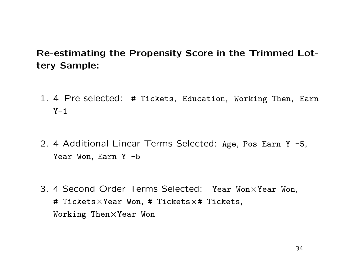# Re-estimating the Propensity Score in the Trimmed Lottery Sample:

- 1. 4 Pre-selected: # Tickets, Education, Working Then, Earn  $Y-1$
- 2. 4 Additional Linear Terms Selected: Age, Pos Earn Y -5, Year Won, Earn Y -5
- 3. 4 Second Order Terms Selected: Year Won×Year Won, # Tickets $\times$ Year Won, # Tickets $\times$ # Tickets, Working Then×Year Won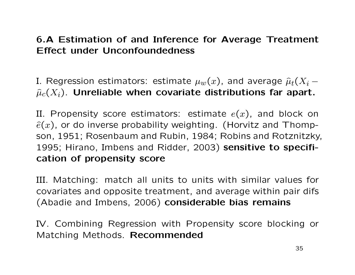# 6.A Estimation of and Inference for Average Treatment Effect under Unconfoundedness

I. Regression estimators: estimate  $\mu_w(x)$ , and average  $\hat{\mu}_t(X_i \widehat{\mu}_c(X_i)$ . Unreliable when covariate distributions far apart.

II. Propensity score estimators: estimate  $e(x)$ , and block on  $\hat{e}(x)$ , or do inverse probability weighting. (Horvitz and Thompson, 1951; Rosenbaum and Rubin, 1984; Robins and Rotznitzky, 1995; Hirano, Imbens and Ridder, 2003) sensitive to specification of propensity score

III. Matching: match all units to units with similar values for covariates and opposite treatment, and average within pair difs (Abadie and Imbens, 2006) considerable bias remains

IV. Combining Regression with Propensity score blocking or Matching Methods. Recommended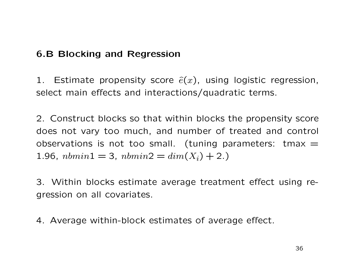# 6.B Blocking and Regression

1. Estimate propensity score  $\hat{e}(x)$ , using logistic regression, select main effects and interactions/quadratic terms.

2. Construct blocks so that within blocks the propensity score does not vary too much, and number of treated and control observations is not too small. (tuning parameters: tmax  $=$ 1.96,  $nbmin1 = 3$ ,  $nbmin2 = dim(X<sub>i</sub>) + 2$ .

3. Within blocks estimate average treatment effect using regression on all covariates.

4. Average within-block estimates of average effect.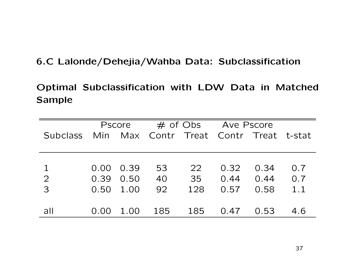## 6.C Lalonde/Dehejia/Wahba Data: Subclassification

# Optimal Subclassification with LDW Data in Matched Sample

|                 |      | <b>Pscore</b>     |                                        |     | $\#$ of Obs Ave Pscore |      |     |
|-----------------|------|-------------------|----------------------------------------|-----|------------------------|------|-----|
| <b>Subclass</b> |      |                   | Min Max Contr Treat Contr Treat t-stat |     |                        |      |     |
|                 |      |                   |                                        |     |                        |      |     |
|                 |      |                   |                                        |     |                        |      |     |
| $\mathbf{1}$    |      | $0.00 \quad 0.39$ | 53                                     | 22  | 0.32                   | 0.34 | 0.7 |
| $\overline{2}$  |      | $0.39$ $0.50$     | 40                                     | 35  | 0.44                   | 0.44 | 0.7 |
| $\overline{3}$  | 0.50 | 1.00              | 92                                     | 128 | 0.57                   | 0.58 | 1.1 |
|                 |      |                   |                                        |     |                        |      |     |
| all             | 0.00 | 1.00              | 185                                    | 185 | 0.47                   | 0.53 | 4.6 |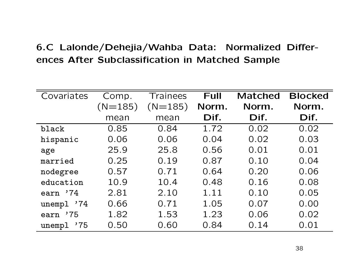# 6.C Lalonde/Dehejia/Wahba Data: Normalized Differences After Subclassification in Matched Sample

| Covariates    | Comp.     | Trainees  | Full  | <b>Matched</b> | <b>Blocked</b> |
|---------------|-----------|-----------|-------|----------------|----------------|
|               | $(N=185)$ | $(N=185)$ | Norm. | Norm.          | Norm.          |
|               | mean      | mean      | Dif.  | Dif.           | Dif.           |
| black         | 0.85      | 0.84      | 1.72  | 0.02           | 0.02           |
| hispanic      | 0.06      | 0.06      | 0.04  | 0.02           | 0.03           |
| age           | 25.9      | 25.8      | 0.56  | 0.01           | 0.01           |
| married       | 0.25      | 0.19      | 0.87  | 0.10           | 0.04           |
| nodegree      | 0.57      | 0.71      | 0.64  | 0.20           | 0.06           |
| education     | 10.9      | 10.4      | 0.48  | 0.16           | 0.08           |
| earn '74      | 2.81      | 2.10      | 1.11  | 0.10           | 0.05           |
| unempl '74    | 0.66      | 0.71      | 1.05  | 0.07           | 0.00           |
| '75<br>earn   | 1.82      | 1.53      | 1.23  | 0.06           | 0.02           |
| '75<br>unempl | 0.50      | 0.60      | 0.84  | 0.14           | 0.01           |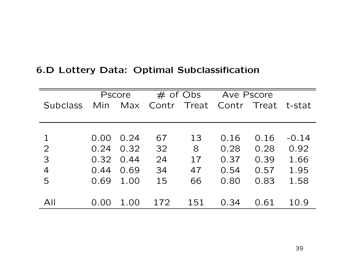|  |  |  |  | 6.D Lottery Data: Optimal Subclassification |
|--|--|--|--|---------------------------------------------|
|--|--|--|--|---------------------------------------------|

|                 |      | <b>Pscore</b> |     | $#$ of Obs        |      | Ave Pscore   |         |
|-----------------|------|---------------|-----|-------------------|------|--------------|---------|
| <b>Subclass</b> | Min  | Max           |     | Contr Treat Contr |      | Treat t-stat |         |
|                 |      |               |     |                   |      |              |         |
|                 |      |               |     |                   |      |              |         |
| $\mathbf 1$     | 0.00 | 0.24          | 67  | 13                | 0.16 | 0.16         | $-0.14$ |
| $\overline{2}$  | 0.24 | 0.32          | 32  | 8                 | 0.28 | 0.28         | 0.92    |
| $\overline{3}$  | 0.32 | 0.44          | 24  | 17                | 0.37 | 0.39         | 1.66    |
| $\overline{4}$  | 0.44 | 0.69          | 34  | 47                | 0.54 | 0.57         | 1.95    |
| 5               | 0.69 | 1.00          | 15  | 66                | 0.80 | 0.83         | 1.58    |
|                 |      |               |     |                   |      |              |         |
| All             | 0.00 | 1.00          | 172 | 151               | 0.34 | 0.61         | 10.9    |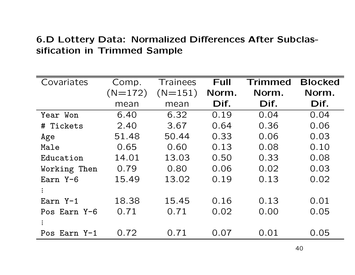# 6.D Lottery Data: Normalized Differences After Subclassification in Trimmed Sample

| Covariates   | Comp.     | <b>Trainees</b> | <b>Full</b> | <b>Trimmed</b> | <b>Blocked</b> |
|--------------|-----------|-----------------|-------------|----------------|----------------|
|              | $(N=172)$ | $(N=151)$       | Norm.       | Norm.          | Norm.          |
|              | mean      | mean            | Dif.        | Dif.           | Dif.           |
| Year Won     | 6.40      | 6.32            | 0.19        | 0.04           | 0.04           |
| # Tickets    | 2.40      | 3.67            | 0.64        | 0.36           | 0.06           |
| Age          | 51.48     | 50.44           | 0.33        | 0.06           | 0.03           |
| Male         | 0.65      | 0.60            | 0.13        | 0.08           | 0.10           |
| Education    | 14.01     | 13.03           | 0.50        | 0.33           | 0.08           |
| Working Then | 0.79      | 0.80            | 0.06        | 0.02           | 0.03           |
| Earn Y-6     | 15.49     | 13.02           | 0.19        | 0.13           | 0.02           |
|              |           |                 |             |                |                |
| Earn $Y-1$   | 18.38     | 15.45           | 0.16        | 0.13           | 0.01           |
| Pos Earn Y-6 | 0.71      | 0.71            | 0.02        | 0.00           | 0.05           |
|              |           |                 |             |                |                |
| Pos Earn Y-1 | 0.72      | 0.71            | 0.07        | 0.01           | 0.05           |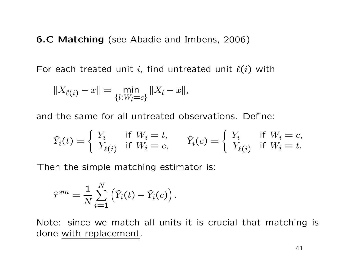6.C Matching (see Abadie and Imbens, 2006)

For each treated unit i, find untreated unit  $\ell(i)$  with

$$
||X_{\ell(i)} - x|| = \min_{\{l: W_l = c\}} ||X_l - x||,
$$

and the same for all untreated observations. Define:

$$
\widehat{Y}_i(t) = \begin{cases} Y_i & \text{if } W_i = t, \\ Y_{\ell(i)} & \text{if } W_i = c, \end{cases} \qquad \widehat{Y}_i(c) = \begin{cases} Y_i & \text{if } W_i = c, \\ Y_{\ell(i)} & \text{if } W_i = t. \end{cases}
$$

Then the simple matching estimator is:

$$
\hat{\tau}^{sm} = \frac{1}{N} \sum_{i=1}^{N} (\hat{Y}_i(t) - \hat{Y}_i(c)).
$$

Note: since we match all units it is crucial that matching is done with replacement.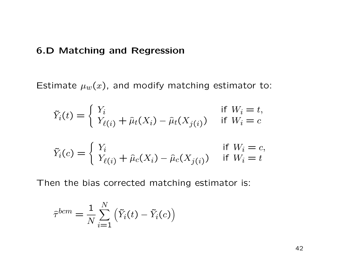#### 6.D Matching and Regression

Estimate  $\mu_w(x)$ , and modify matching estimator to:

$$
\tilde{Y}_i(t) = \begin{cases} Y_i & \text{if } W_i = t, \\ Y_{\ell(i)} + \hat{\mu}_t(X_i) - \hat{\mu}_t(X_{j(i)}) & \text{if } W_i = c \end{cases}
$$

$$
\tilde{Y}_i(c) = \begin{cases} Y_i & \text{if } W_i = c, \\ Y_{\ell(i)} + \hat{\mu}_c(X_i) - \hat{\mu}_c(X_{j(i)}) & \text{if } W_i = t \end{cases}
$$

Then the bias corrected matching estimator is:

$$
\hat{\tau}^{bcm} = \frac{1}{N} \sum_{i=1}^{N} (\tilde{Y}_i(t) - \tilde{Y}_i(c))
$$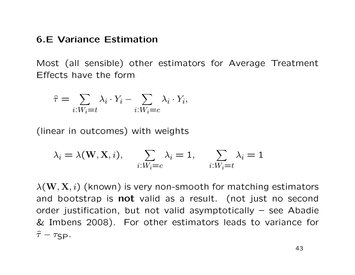#### 6.E Variance Estimation

Most (all sensible) other estimators for Average Treatment Effects have the form

$$
\hat{\tau} = \sum_{i: W_i = t} \lambda_i \cdot Y_i - \sum_{i: W_i = c} \lambda_i \cdot Y_i,
$$

(linear in outcomes) with weights

$$
\lambda_i = \lambda(\mathbf{W}, \mathbf{X}, i), \quad \sum_{i: W_i = c} \lambda_i = 1, \quad \sum_{i: W_i = t} \lambda_i = 1
$$

 $\lambda(\mathbf{W}, \mathbf{X}, i)$  (known) is very non-smooth for matching estimators and bootstrap is not valid as a result. (not just no second order justification, but not valid asymptotically – see Abadie & Imbens 2008). For other estimators leads to variance for  $\hat{\tau} - \tau_{\text{SP}}$ .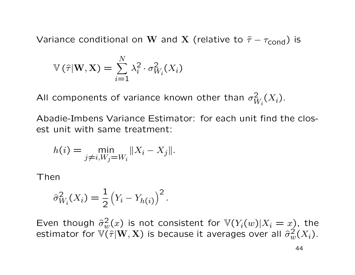Variance conditional on W and X (relative to  $\hat{\tau} - \tau_{\text{cond}}$ ) is

$$
\mathbb{V}(\widehat{\tau}|\mathbf{W},\mathbf{X}) = \sum_{i=1}^{N} \lambda_i^2 \cdot \sigma_{W_i}^2(X_i)
$$

All components of variance known other than  $\sigma^2_W$  ${}^{2}_{W_i}(X_i)$ .

Abadie-Imbens Variance Estimator: for each unit find the closest unit with same treatment:

$$
h(i) = \min_{j \neq i, W_j = W_i} \|X_i - X_j\|.
$$

Then

$$
\widehat{\sigma}_{W_i}^2(X_i) = \frac{1}{2} (Y_i - Y_{h(i)})^2.
$$

Even though  $\hat{\sigma}_w^2(x)$  is not consistent for  $\mathbb{V}(Y_i(w)|X_i=x)$ , the estimator for  $\widetilde{\mathbb{V}(\tau | \mathbf{W}, \mathbf{X})}$  is because it averages over all  $\widehat{\sigma}_w^2(X_i)$ .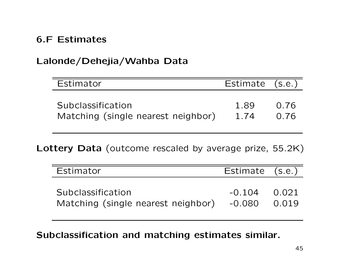# 6.F Estimates

# Lalonde/Dehejia/Wahba Data

| Estimator                          | Estimate (s.e.) |      |
|------------------------------------|-----------------|------|
| Subclassification                  | 1.89            | 0.76 |
| Matching (single nearest neighbor) | 1.74            | 0.76 |

Lottery Data (outcome rescaled by average prize, 55.2K)

| Estimator                                               | Estimate (s.e.)          |       |
|---------------------------------------------------------|--------------------------|-------|
| Subclassification<br>Matching (single nearest neighbor) | $-0.104$ 0.021<br>-0.080 | 0.019 |

Subclassification and matching estimates similar.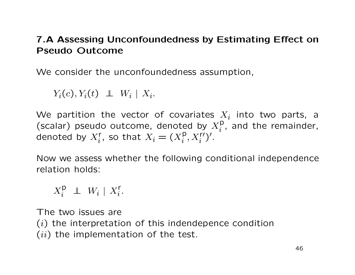# 7.A Assessing Unconfoundedness by Estimating Effect on Pseudo Outcome

We consider the unconfoundedness assumption,

 $Y_i(c), Y_i(t) \perp W_i \mid X_i.$ 

We partition the vector of covariates  $X_i$  into two parts, a (scalar) pseudo outcome, denoted by  $X_i^{\mathsf{p}}$  $i_i^p$ , and the remainder, denoted by  $X_i^r$ , so that  $X_i = (X_i^p)$  $_i^p, X_i^{r\prime})^{\prime}.$ 

Now we assess whether the following conditional independence relation holds:

 $X_i^{\mathsf{p}} \perp W_i \mid X_i^{\mathsf{r}}.$ 

The two issues are  $(i)$  the interpretation of this indendepence condition  $(ii)$  the implementation of the test.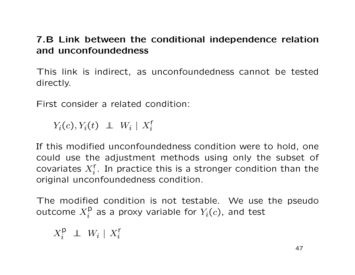# 7.B Link between the conditional independence relation and unconfoundedness

This link is indirect, as unconfoundedness cannot be tested directly.

First consider a related condition:

 $Y_i(c), Y_i(t) \perp W_i \mid X_i^r$ 

If this modified unconfoundedness condition were to hold, one could use the adjustment methods using only the subset of covariates  $X_i^{\mathsf{r}}.$  In practice this is a stronger condition than the original unconfoundedness condition.

The modified condition is not testable. We use the pseudo outcome  $X^{\mathsf{p}}_i$  $i_i^{\mathsf{p}}$  as a proxy variable for  $Y_i(c)$ , and test

 $X_i^{\mathsf{p}} \perp W_i \mid X_i^{\mathsf{r}}$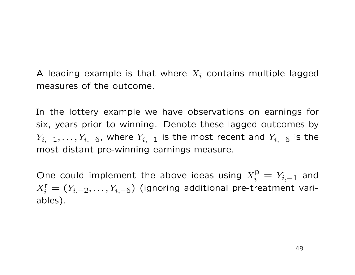A leading example is that where  $X_i$  contains multiple lagged measures of the outcome.

In the lottery example we have observations on earnings for six, years prior to winning. Denote these lagged outcomes by  $Y_{i,-1},\ldots,Y_{i,-6}$ , where  $Y_{i,-1}$  is the most recent and  $Y_{i,-6}$  is the most distant pre-winning earnings measure.

One could implement the above ideas using  $X_i^{\mathsf{p}} = Y_{i,-1}$  and  $X_i^{\mathsf{r}} = (Y_{i,-2}, \ldots, Y_{i,-6})$  (ignoring additional pre-treatment variables).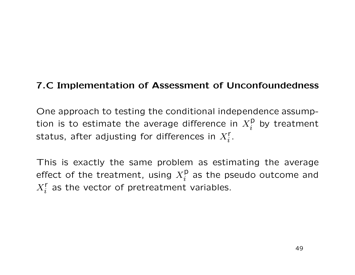# 7.C Implementation of Assessment of Unconfoundedness

One approach to testing the conditional independence assumption is to estimate the average difference in  $X_i^{\mathsf{p}}$  $i$ <sup>p</sup> by treatment status, after adjusting for differences in  $X^{\mathsf{r}}_i.$ 

This is exactly the same problem as estimating the average effect of the treatment, using  $X_i^{\mathsf{p}}$  $i$  as the pseudo outcome and  $X_i^{\mathsf{r}}$  as the vector of pretreatment variables.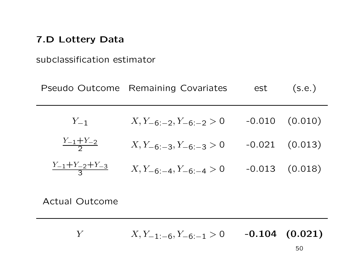#### 7.D Lottery Data

subclassification estimator

|                                  | Pseudo Outcome Remaining Covariates | est | (s.e.)             |
|----------------------------------|-------------------------------------|-----|--------------------|
| $Y_{-1}$                         | $X, Y_{-6:-2}, Y_{-6:-2} > 0$       |     | $-0.010$ $(0.010)$ |
| $\frac{Y_{-1}+Y_{-2}}{2}$        | $X, Y_{-6:-3}, Y_{-6:-3} > 0$       |     | $-0.021$ $(0.013)$ |
| $\frac{Y_{-1}+Y_{-2}+Y_{-3}}{3}$ | $X, Y_{-6;-4}, Y_{-6;-4} > 0$       |     | $-0.013$ $(0.018)$ |

Actual Outcome

Y  $X, Y_{-1:-6}, Y_{-6:-1} > 0$  -0.104 (0.021)

50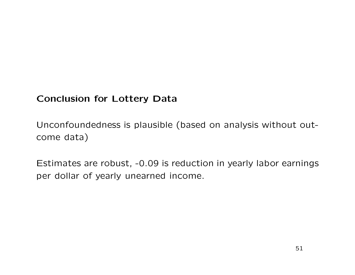# Conclusion for Lottery Data

Unconfoundedness is plausible (based on analysis without outcome data)

Estimates are robust, -0.09 is reduction in yearly labor earnings per dollar of yearly unearned income.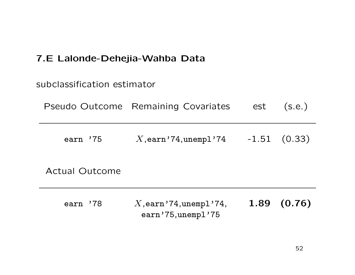# 7.E Lalonde-Dehejia-Wahba Data

| subclassification estimator |                                                   |      |                  |
|-----------------------------|---------------------------------------------------|------|------------------|
|                             | Pseudo Outcome Remaining Covariates               | est  | (s.e.)           |
| earn '75                    | $X,$ earn' $74,$ unempl' $74$                     |      | $-1.51$ $(0.33)$ |
| <b>Actual Outcome</b>       |                                                   |      |                  |
| earn '78                    | $X$ , earn '74, unempl '74,<br>earn'75, unempl'75 | 1.89 | (0.76)           |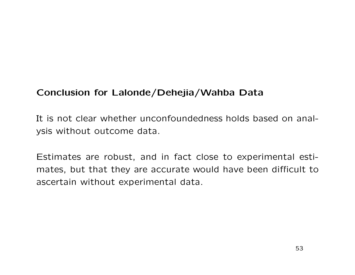# Conclusion for Lalonde/Dehejia/Wahba Data

It is not clear whether unconfoundedness holds based on analysis without outcome data.

Estimates are robust, and in fact close to experimental estimates, but that they are accurate would have been difficult to ascertain without experimental data.